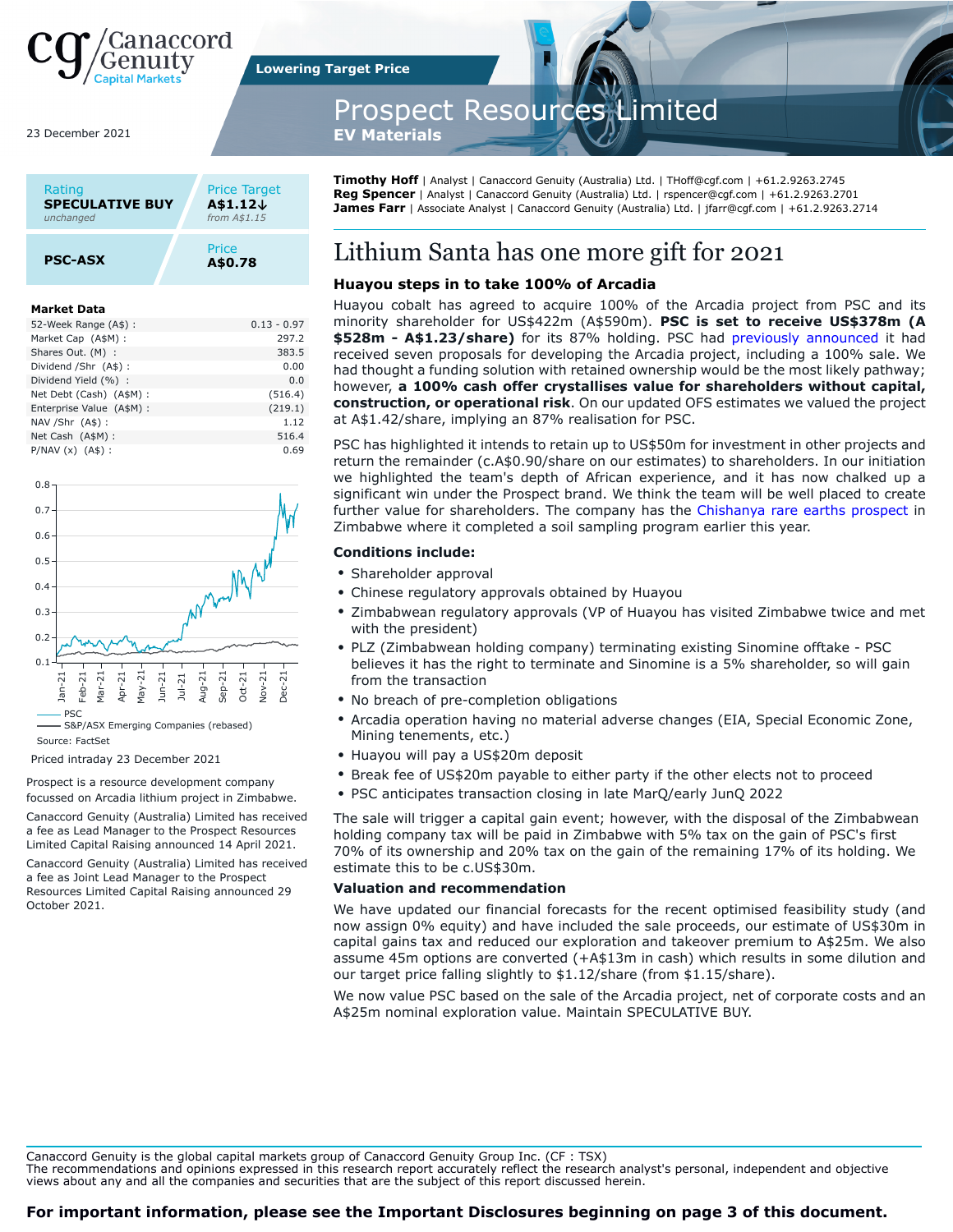

23 December 2021

| Rating                 | <b>Price Target</b> |
|------------------------|---------------------|
| <b>SPECULATIVE BUY</b> | A\$1.12↓            |
| unchanged              | from A\$1.15        |
| <b>PSC-ASX</b>         | Price<br>A\$0.78    |

#### **Market Data**

| 52-Week Range (A\$):      | $0.13 - 0.97$ |
|---------------------------|---------------|
| Market Cap (A\$M):        | 297.2         |
| Shares Out. (M) :         | 383.5         |
| Dividend /Shr (A\$):      | 0.00          |
| Dividend Yield (%) :      | 0.0           |
| Net Debt (Cash) (A\$M) :  | (516.4)       |
| Enterprise Value (A\$M) : | (219.1)       |
| NAV / Shr (A\$) :         | 1.12          |
| Net Cash (A\$M) :         | 516.4         |
| $P/NAV(x)$ $(A$):$        | 0.69          |



S&P/ASX Emerging Companies (rebased) Source: FactSet

Priced intraday 23 December 2021

Prospect is a resource development company focussed on Arcadia lithium project in Zimbabwe.

Canaccord Genuity (Australia) Limited has received a fee as Lead Manager to the Prospect Resources Limited Capital Raising announced 14 April 2021.

Canaccord Genuity (Australia) Limited has received a fee as Joint Lead Manager to the Prospect Resources Limited Capital Raising announced 29 October 2021.

**Lowering Target Price**

# Prospect Resources Limited

**EV Materials** 

**Timothy Hoff** | Analyst | Canaccord Genuity (Australia) Ltd. | THoff@cgf.com | +61.2.9263.2745 **Reg Spencer** | Analyst | Canaccord Genuity (Australia) Ltd. | rspencer@cgf.com | +61.2.9263.2701 **James Farr** | Associate Analyst | Canaccord Genuity (Australia) Ltd. | jfarr@cgf.com | +61.2.9263.2714

## Lithium Santa has one more gift for 2021

## **Huayou steps in to take 100% of Arcadia**

Huayou cobalt has agreed to acquire 100% of the Arcadia project from PSC and its minority shareholder for US\$422m (A\$590m). **PSC is set to receive US\$378m (A \$528m - A\$1.23/share)** for its 87% holding. PSC had [previously announced](https://canaccordgenuity.bluematrix.com/sellside/EmailDocViewer?mime=pdf&co=Canaccordgenuity&id=replaceme@bluematrix.com&source=mail&encrypt=96702df2-055c-468f-8abe-224e8c9aa73b) it had received seven proposals for developing the Arcadia project, including a 100% sale. We had thought a funding solution with retained ownership would be the most likely pathway; however, **a 100% cash offer crystallises value for shareholders without capital, construction, or operational risk**. On our updated OFS estimates we valued the project at A\$1.42/share, implying an 87% realisation for PSC.

PSC has highlighted it intends to retain up to US\$50m for investment in other projects and return the remainder (c.A\$0.90/share on our estimates) to shareholders. In our initiation we highlighted the team's depth of African experience, and it has now chalked up a significant win under the Prospect brand. We think the team will be well placed to create further value for shareholders. The company has the [Chishanya rare earths prospect](https://stocknessmonster.com/announcements/psc.asx-6A1044403/) in Zimbabwe where it completed a soil sampling program earlier this year.

## **Conditions include:**

- Shareholder approval
- Chinese regulatory approvals obtained by Huayou
- Zimbabwean regulatory approvals (VP of Huayou has visited Zimbabwe twice and met with the president)
- PLZ (Zimbabwean holding company) terminating existing Sinomine offtake PSC believes it has the right to terminate and Sinomine is a 5% shareholder, so will gain from the transaction
- No breach of pre-completion obligations
- Arcadia operation having no material adverse changes (EIA, Special Economic Zone, Mining tenements, etc.)
- Huayou will pay a US\$20m deposit
- Break fee of US\$20m payable to either party if the other elects not to proceed
- PSC anticipates transaction closing in late MarQ/early JunQ 2022

The sale will trigger a capital gain event; however, with the disposal of the Zimbabwean holding company tax will be paid in Zimbabwe with 5% tax on the gain of PSC's first 70% of its ownership and 20% tax on the gain of the remaining 17% of its holding. We estimate this to be c.US\$30m.

#### **Valuation and recommendation**

We have updated our financial forecasts for the recent optimised feasibility study (and now assign 0% equity) and have included the sale proceeds, our estimate of US\$30m in capital gains tax and reduced our exploration and takeover premium to A\$25m. We also assume 45m options are converted (+A\$13m in cash) which results in some dilution and our target price falling slightly to \$1.12/share (from \$1.15/share).

We now value PSC based on the sale of the Arcadia project, net of corporate costs and an A\$25m nominal exploration value. Maintain SPECULATIVE BUY.

Canaccord Genuity is the global capital markets group of Canaccord Genuity Group Inc. (CF : TSX)

The recommendations and opinions expressed in this research report accurately reflect the research analyst's personal, independent and objective views about any and all the companies and securities that are the subject of this report discussed herein.

## **For important information, please see the Important Disclosures beginning on page 3 of this document.**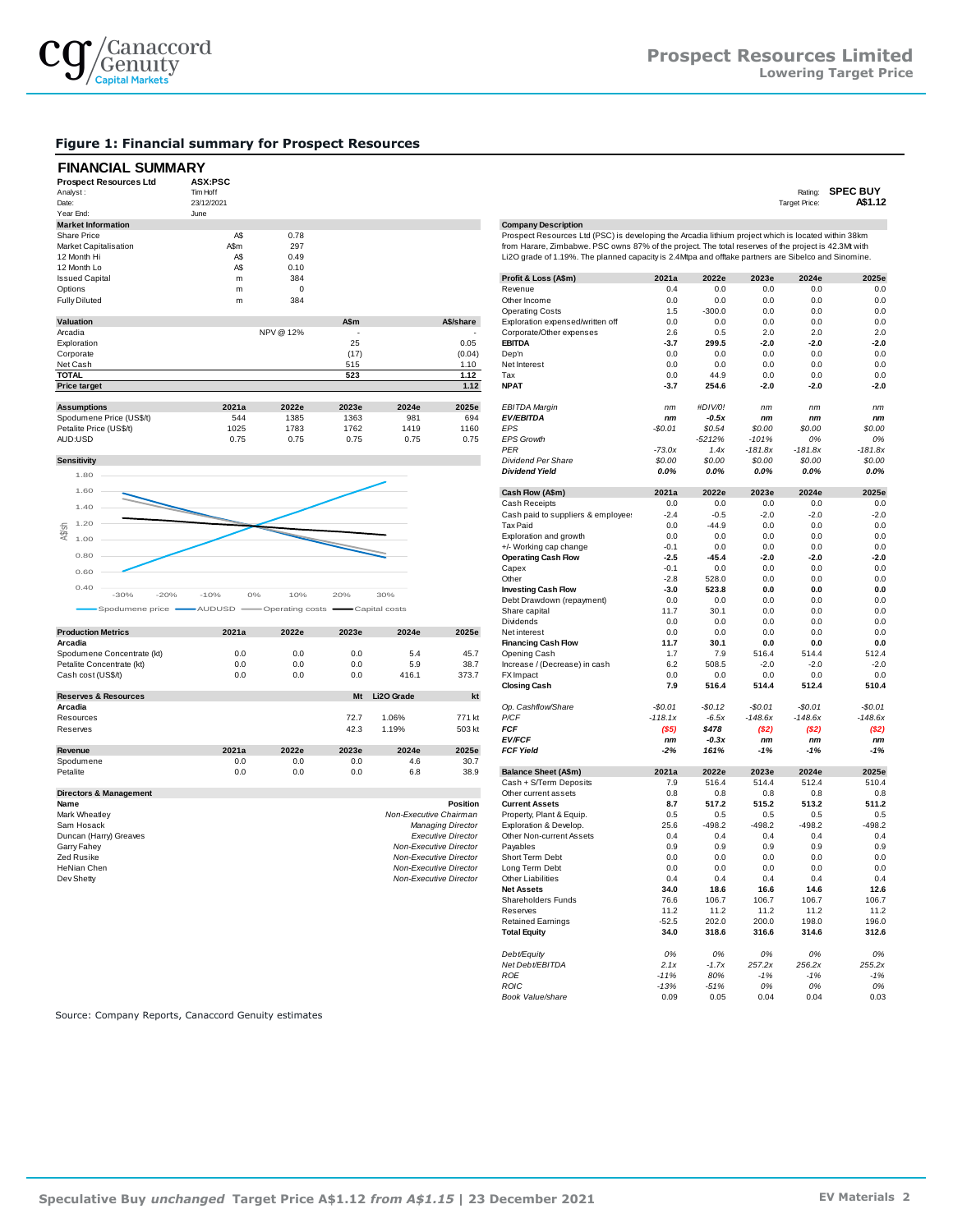

#### **Figure 1: Financial summary for Prospect Resources**

## **FINANCIAL SUMMARY**

| <b>Prospect Resources Ltd</b> | <b>ASX:PSC</b> |         |       |       |           |                                                                                                      |          |          |        |                      |                 |
|-------------------------------|----------------|---------|-------|-------|-----------|------------------------------------------------------------------------------------------------------|----------|----------|--------|----------------------|-----------------|
| Analyst:                      | Tim Hoff       |         |       |       |           |                                                                                                      |          |          |        | Rating:              | <b>SPEC BUY</b> |
| Date:                         | 23/12/2021     |         |       |       |           |                                                                                                      |          |          |        | <b>Target Price:</b> | A\$1.12         |
| Year End:                     | June           |         |       |       |           |                                                                                                      |          |          |        |                      |                 |
| <b>Market Information</b>     |                |         |       |       |           | <b>Company Description</b>                                                                           |          |          |        |                      |                 |
| <b>Share Price</b>            | A\$            | 0.78    |       |       |           | Prospect Resources Ltd (PSC) is developing the Arcadia lithium project which is located within 38km  |          |          |        |                      |                 |
| Market Capitalisation         | A\$m           | 297     |       |       |           | from Harare, Zimbabwe. PSC owns 87% of the project. The total reserves of the project is 42.3Mt with |          |          |        |                      |                 |
| 12 Month Hi                   | A\$            | 0.49    |       |       |           | Li2O grade of 1.19%. The planned capacity is 2.4Mtpa and offtake partners are Sibelco and Sinomine.  |          |          |        |                      |                 |
| 12 Month Lo                   | A\$            | 0.10    |       |       |           |                                                                                                      |          |          |        |                      |                 |
| <b>Issued Capital</b>         | m              | 384     |       |       |           | Profit & Loss (A\$m)                                                                                 | 2021a    | 2022e    | 2023e  | 2024e                | 2025e           |
| Options                       | m              | 0       |       |       |           | Revenue                                                                                              | 0.4      | 0.0      | 0.0    | 0.0                  | 0.0             |
| <b>Fully Diluted</b>          | m              | 384     |       |       |           | Other Income                                                                                         | 0.0      | 0.0      | 0.0    | 0.0                  | 0.0             |
|                               |                |         |       |       |           | <b>Operating Costs</b>                                                                               | 1.5      | $-300.0$ | 0.0    | 0.0                  | 0.0             |
| <b>Valuation</b>              |                |         | A\$m  |       | A\$/share | Exploration expensed/written off                                                                     | 0.0      | 0.0      | 0.0    | 0.0                  | 0.0             |
| Arcadia                       |                | NPV@12% |       |       |           | Corporate/Other expenses                                                                             | 2.6      | 0.5      | 2.0    | 2.0                  | 2.0             |
| Exploration                   |                |         | 25    |       | 0.05      | <b>EBITDA</b>                                                                                        | $-3.7$   | 299.5    | $-2.0$ | $-2.0$               | $-2.0$          |
| Corporate                     |                |         | (17)  |       | (0.04)    | Dep'n                                                                                                | 0.0      | 0.0      | 0.0    | 0.0                  | 0.0             |
| Net Cash                      |                |         | 515   |       | 1.10      | Net Interest                                                                                         | 0.0      | 0.0      | 0.0    | 0.0                  | 0.0             |
| <b>TOTAL</b>                  |                |         | 523   |       | 1.12      | Tax                                                                                                  | 0.0      | 44.9     | 0.0    | 0.0                  | 0.0             |
| <b>Price target</b>           |                |         |       |       | 1.12      | <b>NPAT</b>                                                                                          | $-3.7$   | 254.6    | $-2.0$ | $-2.0$               | $-2.0$          |
| <b>Assumptions</b>            | 2021a          | 2022e   | 2023e | 2024e | 2025e     | <b>EBITDA Margin</b>                                                                                 | nm       | #DIV/0!  | nm     | nm                   | nm              |
| Spodumene Price (US\$/t)      | 544            | 1385    | 1363  | 981   | 694       | <b>EV/EBITDA</b>                                                                                     | nm       | $-0.5x$  | nm     | nm                   | nm              |
| Petalite Price (US\$/t)       | 1025           | 1783    | 1762  | 1419  | 1160      | EPS                                                                                                  | $-$0.01$ | \$0.54   | \$0.00 | \$0.00               | \$0.00          |



|                                   |       |       |       |            |          | <b>Dividends</b>              | 0.0       | 0.0      | 0.0       | 0.0       | 0.0       |
|-----------------------------------|-------|-------|-------|------------|----------|-------------------------------|-----------|----------|-----------|-----------|-----------|
| <b>Production Metrics</b>         | 2021a | 2022e | 2023e | 2024e      | 2025e    | Net interest                  | 0.0       | 0.0      | 0.0       | 0.0       | 0.0       |
| Arcadia                           |       |       |       |            |          | <b>Financing Cash Flow</b>    | 11.7      | 30.1     | 0.0       | 0.0       | 0.0       |
| Spodumene Concentrate (kt)        | 0.0   | 0.0   | 0.0   | 5.4        | 45.7     | Opening Cash                  | 1.7       | 7.9      | 516.4     | 514.4     | 512.4     |
| Petalite Concentrate (kt)         | 0.0   | 0.0   | 0.0   | 5.9        | 38.7     | Increase / (Decrease) in cash | 6.2       | 508.5    | $-2.0$    | $-2.0$    | $-2.0$    |
| Cash cost (US\$/t)                | 0.0   | 0.0   | 0.0   | 416.1      | 373.7    | FX Impact                     | 0.0       | 0.0      | 0.0       | 0.0       | 0.0       |
|                                   |       |       |       |            |          | <b>Closing Cash</b>           | 7.9       | 516.4    | 514.4     | 512.4     | 510.4     |
| <b>Reserves &amp; Resources</b>   |       |       | Mt    | Li2O Grade | kt       |                               |           |          |           |           |           |
| Arcadia                           |       |       |       |            |          | Op. Cashflow/Share            | $-$0.01$  | $-$0.12$ | $-$0.01$  | $-$0.01$  | $-$0.01$  |
| Resources                         |       |       | 72.7  | 1.06%      | 771 kt   | P/CF                          | $-118.1x$ | $-6.5x$  | $-148.6x$ | $-148.6x$ | $-148.6x$ |
| Reserves                          |       |       | 42.3  | 1.19%      | 503 kt   | <b>FCF</b>                    | (\$5)     | \$478    | ( \$2)    | (52)      | ( \$2]    |
|                                   |       |       |       |            |          | <b>EV/FCF</b>                 | nm        | $-0.3x$  | nm        | nm        | nm        |
| Revenue                           | 2021a | 2022e | 2023e | 2024e      | 2025e    | <b>FCF Yield</b>              | $-2%$     | 161%     | $-1%$     | $-1%$     | $-1%$     |
| Spodumene                         | 0.0   | 0.0   | 0.0   | 4.6        | 30.7     |                               |           |          |           |           |           |
| Petalite                          | 0.0   | 0.0   | 0.0   | 6.8        | 38.9     | <b>Balance Sheet (A\$m)</b>   | 2021a     | 2022e    | 2023e     | 2024e     | 2025e     |
|                                   |       |       |       |            |          | Cash + S/Term Deposits        | 7.9       | 516.4    | 514.4     | 512.4     | 510.4     |
| <b>Directors &amp; Management</b> |       |       |       |            |          | Other current assets          | 0.8       | 0.8      | 0.8       | 0.8       | 0.8       |
| Name                              |       |       |       |            | Position | <b>Current Assets</b>         | 8.7       | 517.2    | 515.2     | 513.2     | 511.2     |

| <b>Mark Wheatley</b>   | Non-Executive Chairman    | Property, Plant & Equip. | 0.5     | 0.5      | 0.5                             | 0.5      | 0.5      |
|------------------------|---------------------------|--------------------------|---------|----------|---------------------------------|----------|----------|
| Sam Hosack             | <b>Managing Director</b>  | Exploration & Develop.   | 25.6    | $-498.2$ | $-498.2$                        | $-498.2$ | $-498.2$ |
| Duncan (Harry) Greaves | <b>Executive Director</b> | Other Non-current Assets | 0.4     | 0.4      | 0.4                             | 0.4      | 0.4      |
| Garry Fahey            | Non-Executive Director    | Pavables                 | 0.9     | 0.9      | 0.9                             | 0.9      | 0.9      |
| Zed Rusike             | Non-Executive Director    | Short Term Debt          | 0.0     | 0.0      | 0.0                             | 0.0      | 0.0      |
| HeNian Chen            | Non-Executive Director    | Long Term Debt           | 0.0     | 0.0      | 0.0                             | 0.0      | 0.0      |
| Dev Shetty             | Non-Executive Director    | Other Liabilities        | 0.4     | 0.4      | 0.4                             | 0.4      | 0.4      |
|                        |                           | <b>Net Assets</b>        | 34.0    | 18.6     | 16.6                            | 14.6     | 12.6     |
|                        |                           | __________               | $- - -$ | .        | $\cdot$ $\cdot$ $\cdot$ $\cdot$ | .        | .        |

| <b>Market Information</b>       |               |                 |       |                        |                           | <b>Company Description</b>                                                                           |           |          |                |           |                |
|---------------------------------|---------------|-----------------|-------|------------------------|---------------------------|------------------------------------------------------------------------------------------------------|-----------|----------|----------------|-----------|----------------|
| <b>Share Price</b>              | A\$           | 0.78            |       |                        |                           | Prospect Resources Ltd (PSC) is developing the Arcadia lithium project which is located within 38km  |           |          |                |           |                |
| Market Capitalisation           | A\$m          | 297             |       |                        |                           | from Harare, Zimbabwe. PSC owns 87% of the project. The total reserves of the project is 42.3Mt with |           |          |                |           |                |
| 12 Month Hi                     | A\$           | 0.49            |       |                        |                           | Li2O grade of 1.19%. The planned capacity is 2.4Mtpa and offtake partners are Sibelco and Sinomine.  |           |          |                |           |                |
|                                 |               |                 |       |                        |                           |                                                                                                      |           |          |                |           |                |
| 12 Month Lo                     | A\$           | 0.10            |       |                        |                           |                                                                                                      |           |          |                |           |                |
| <b>Issued Capital</b>           | m             | 384             |       |                        |                           | Profit & Loss (A\$m)                                                                                 | 2021a     | 2022e    | 2023e          | 2024e     | 2025e          |
| Options                         | m             | $\mathbf 0$     |       |                        |                           | Revenue                                                                                              | 0.4       | 0.0      | 0.0            | 0.0       | 0.0            |
| <b>Fully Diluted</b>            | m             | 384             |       |                        |                           | Other Income                                                                                         | 0.0       | 0.0      | 0.0            | 0.0       | 0.0            |
|                                 |               |                 |       |                        |                           |                                                                                                      |           |          |                |           |                |
|                                 |               |                 |       |                        |                           | <b>Operating Costs</b>                                                                               | 1.5       | $-300.0$ | 0 <sub>0</sub> | 0.0       | 0.0            |
| Valuation                       |               |                 | A\$m  |                        | A\$/share                 | Exploration expensed/written off                                                                     | 0.0       | 0.0      | 0.0            | 0.0       | 0.0            |
| Arcadia                         |               | NPV@12%         |       |                        |                           | Corporate/Other expenses                                                                             | 2.6       | 0.5      | 2.0            | 2.0       | 2.0            |
| Exploration                     |               |                 | 25    |                        | 0.05                      | <b>EBITDA</b>                                                                                        | $-3.7$    | 299.5    | $-2.0$         | $-2.0$    | $-2.0$         |
|                                 |               |                 |       |                        |                           |                                                                                                      |           |          |                |           |                |
| Corporate                       |               |                 | (17)  |                        | (0.04)                    | Dep'n                                                                                                | 0.0       | 0.0      | 0.0            | 0.0       | 0.0            |
| Net Cash                        |               |                 | 515   |                        | 1.10                      | Net Interest                                                                                         | 0.0       | 0.0      | 0.0            | 0.0       | 0.0            |
| TOTAL                           |               |                 | 523   |                        | 1.12                      | Tax                                                                                                  | 0.0       | 44.9     | 0.0            | 0.0       | 0.0            |
|                                 |               |                 |       |                        |                           |                                                                                                      |           | 254.6    | $-2.0$         | $-2.0$    | $-2.0$         |
| <b>Price target</b>             |               |                 |       |                        | 1.12                      | <b>NPAT</b>                                                                                          | $-3.7$    |          |                |           |                |
|                                 |               |                 |       |                        |                           |                                                                                                      |           |          |                |           |                |
| <b>Assumptions</b>              | 2021a         | 2022e           | 2023e | 2024e                  | 2025e                     | <b>EBITDA Margin</b>                                                                                 | nm        | #DIV/0!  | nm             | nm        | nm             |
| Spodumene Price (US\$/t)        | 544           | 1385            | 1363  | 981                    | 694                       | <b>EV/EBITDA</b>                                                                                     | nm        | $-0.5x$  | nm             | nm        | nm             |
| Petalite Price (US\$/t)         | 1025          | 1783            | 1762  | 1419                   | 1160                      | EPS                                                                                                  | $-$0.01$  | \$0.54   | \$0.00         | \$0.00    | \$0.00         |
|                                 |               |                 |       |                        |                           |                                                                                                      |           |          |                |           |                |
| AUD:USD                         | 0.75          | 0.75            | 0.75  | 0.75                   | 0.75                      | <b>EPS Growth</b>                                                                                    |           | $-5212%$ | $-101%$        | 0%        | 0%             |
|                                 |               |                 |       |                        |                           | PER                                                                                                  | $-73.0x$  | 1.4x     | $-181.8x$      | $-181.8x$ | $-181.8x$      |
| Sensitivity                     |               |                 |       |                        |                           | <b>Dividend Per Share</b>                                                                            | \$0.00    | \$0.00   | \$0.00         | \$0.00    | \$0.00         |
|                                 |               |                 |       |                        |                           |                                                                                                      |           |          |                |           |                |
| 1.80                            |               |                 |       |                        |                           | <b>Dividend Yield</b>                                                                                | 0.0%      | 0.0%     | 0.0%           | 0.0%      | 0.0%           |
|                                 |               |                 |       |                        |                           |                                                                                                      |           |          |                |           |                |
| 1.60                            |               |                 |       |                        |                           | Cash Flow (A\$m)                                                                                     | 2021a     | 2022e    | 2023e          | 2024e     | 2025e          |
|                                 |               |                 |       |                        |                           | Cash Receipts                                                                                        | 0.0       | 0.0      | 0.0            | $0.0\,$   | 0.0            |
| 1.40                            |               |                 |       |                        |                           |                                                                                                      |           | $-0.5$   | $-2.0$         |           | $-2.0$         |
|                                 |               |                 |       |                        |                           | Cash paid to suppliers & employee:                                                                   | $-2.4$    |          |                | $-2.0$    |                |
| 1.20<br>A\$/sh                  |               |                 |       |                        |                           | <b>Tax Paid</b>                                                                                      | 0.0       | $-44.9$  | 0.0            | 0.0       | 0.0            |
| 1.00                            |               |                 |       |                        |                           | Exploration and growth                                                                               | 0.0       | 0.0      | 0.0            | 0.0       | 0.0            |
|                                 |               |                 |       |                        |                           | +/- Working cap change                                                                               | $-0.1$    | 0.0      | 0.0            | 0.0       | 0.0            |
| 0.80                            |               |                 |       |                        |                           |                                                                                                      |           |          |                |           |                |
|                                 |               |                 |       |                        |                           | <b>Operating Cash Flow</b>                                                                           | $-2.5$    | $-45.4$  | $-2.0$         | $-2.0$    | $-2.0$         |
| 0.60                            |               |                 |       |                        |                           | Capex                                                                                                | $-0.1$    | 0.0      | 0.0            | 0.0       | 0.0            |
|                                 |               |                 |       |                        |                           | Other                                                                                                | $-2.8$    | 528.0    | 0.0            | 0.0       | 0.0            |
| 0.40                            |               |                 |       |                        |                           | <b>Investing Cash Flow</b>                                                                           | $-3.0$    | 523.8    | 0.0            | 0.0       | 0.0            |
| $-30%$<br>$-20%$                | $-10%$<br>0%  | 10%             | 20%   | 30%                    |                           |                                                                                                      |           |          |                |           |                |
|                                 |               |                 |       |                        |                           | Debt Drawdown (repayment)                                                                            | 0.0       | 0.0      | 0.0            | 0.0       | 0.0            |
| Spodumene price                 | <b>AUDUSD</b> | Operating costs |       | Capital costs          |                           | Share capital                                                                                        | 11.7      | 30.1     | 0.0            | 0.0       | 0.0            |
|                                 |               |                 |       |                        |                           | Dividends                                                                                            | 0.0       | 0.0      | 0.0            | 0.0       | 0.0            |
| <b>Production Metrics</b>       | 2021a         | 2022e           | 2023e | 2024e                  | 2025e                     | Net interest                                                                                         | 0.0       | 0.0      | 0.0            | 0.0       | 0.0            |
|                                 |               |                 |       |                        |                           |                                                                                                      |           |          |                |           |                |
| Arcadia                         |               |                 |       |                        |                           | <b>Financing Cash Flow</b>                                                                           | 11.7      | 30.1     | 0.0            | 0.0       | 0.0            |
| Spodumene Concentrate (kt)      | 0.0           | 0.0             | 0.0   | 5.4                    | 45.7                      | Opening Cash                                                                                         | 1.7       | 7.9      | 516.4          | 514.4     | 512.4          |
| Petalite Concentrate (kt)       | 0.0           | 0.0             | 0.0   | 5.9                    | 38.7                      | Increase / (Decrease) in cash                                                                        | 6.2       | 508.5    | $-2.0$         | $-2.0$    | $-2.0$         |
|                                 | 0.0           | 0.0             | 0.0   | 416.1                  |                           | <b>FX</b> Impact                                                                                     | 0.0       | 0.0      | 0.0            | 0.0       | 0.0            |
| Cash cost (US\$/t)              |               |                 |       |                        | 373.7                     |                                                                                                      |           |          |                |           |                |
|                                 |               |                 |       |                        |                           | <b>Closing Cash</b>                                                                                  | 7.9       | 516.4    | 514.4          | 512.4     | 510.4          |
| <b>Reserves &amp; Resources</b> |               |                 | Mt    | Li2O Grade             | kt                        |                                                                                                      |           |          |                |           |                |
| Arcadia                         |               |                 |       |                        |                           | Op. Cashflow/Share                                                                                   | $-$0.01$  | $-$0.12$ | $-$0.01$       | $-$0.01$  | $-$0.01$       |
|                                 |               |                 | 72.7  | 1.06%                  | 771 kt                    | P/CF                                                                                                 | $-118.1x$ | $-6.5x$  | $-148.6x$      | $-148.6x$ | $-148.6x$      |
| Resources                       |               |                 |       |                        |                           |                                                                                                      |           |          |                |           |                |
| Reserves                        |               |                 | 42.3  | 1.19%                  | 503 kt                    | FCF                                                                                                  | $($ \$5)  | \$478    | (S2)           | ( \$2)    | ( \$2)         |
|                                 |               |                 |       |                        |                           | <b>EV/FCF</b>                                                                                        | nm        | $-0.3x$  | nm             | nm        | n <sub>m</sub> |
| Revenue                         | 2021a         | 2022e           | 2023e | 2024e                  | 2025e                     | <b>FCF Yield</b>                                                                                     | $-2%$     | 161%     | $-1%$          | $-1%$     | $-1%$          |
|                                 |               |                 |       |                        |                           |                                                                                                      |           |          |                |           |                |
| Spodumene                       | 0.0           | 0.0             | 0.0   | 4.6                    | 30.7                      |                                                                                                      |           |          |                |           |                |
| Petalite                        | 0.0           | 0.0             | 0.0   | 6.8                    | 38.9                      | <b>Balance Sheet (A\$m)</b>                                                                          | 2021a     | 2022e    | 2023e          | 2024e     | 2025e          |
|                                 |               |                 |       |                        |                           | Cash + S/Term Deposits                                                                               | 7.9       | 516.4    | 514.4          | 512.4     | 510.4          |
| Directors & Management          |               |                 |       |                        |                           | Other current assets                                                                                 | 0.8       | 0.8      | 0.8            | 0.8       | 0.8            |
| Name                            |               |                 |       |                        | Position                  | <b>Current Assets</b>                                                                                | 8.7       | 517.2    | 515.2          | 513.2     | 511.2          |
|                                 |               |                 |       |                        |                           |                                                                                                      |           |          |                |           |                |
| Mark Wheatley                   |               |                 |       | Non-Executive Chairman |                           | Property, Plant & Equip.                                                                             | 0.5       | 0.5      | 0.5            | 0.5       | 0.5            |
| Sam Hosack                      |               |                 |       |                        | <b>Managing Director</b>  | Exploration & Develop.                                                                               | 25.6      | $-498.2$ | $-498.2$       | $-498.2$  | $-498.2$       |
| Duncan (Harry) Greaves          |               |                 |       |                        | <b>Executive Director</b> | Other Non-current Assets                                                                             | 0.4       | 0.4      | 0.4            | 0.4       | 0.4            |
|                                 |               |                 |       |                        |                           |                                                                                                      |           |          |                |           |                |
| Garry Fahey                     |               |                 |       |                        | Non-Executive Director    | Payables                                                                                             | 0.9       | 0.9      | 0.9            | 0.9       | 0.9            |
| Zed Rusike                      |               |                 |       |                        | Non-Executive Director    | Short Term Debt                                                                                      | 0.0       | 0.0      | 0.0            | $0.0\,$   | 0.0            |
| <b>HeNian Chen</b>              |               |                 |       |                        | Non-Executive Director    | Long Term Debt                                                                                       | 0.0       | 0.0      | 0.0            | $0.0\,$   | 0.0            |
| Dev Shetty                      |               |                 |       |                        | Non-Executive Director    | <b>Other Liabilities</b>                                                                             | 0.4       | 0.4      | 0.4            | 0.4       | 0.4            |
|                                 |               |                 |       |                        |                           | <b>Net Assets</b>                                                                                    | 34.0      | 18.6     | 16.6           | 14.6      | 12.6           |
|                                 |               |                 |       |                        |                           |                                                                                                      |           |          |                |           |                |
|                                 |               |                 |       |                        |                           | Shareholders Funds                                                                                   | 76.6      | 106.7    | 106.7          | 106.7     | 106.7          |
|                                 |               |                 |       |                        |                           | Reserves                                                                                             | 11.2      | 11.2     | 11.2           | 11.2      | 11.2           |
|                                 |               |                 |       |                        |                           | <b>Retained Earnings</b>                                                                             | $-52.5$   | 202.0    | 200.0          | 198.0     | 196.0          |
|                                 |               |                 |       |                        |                           |                                                                                                      |           |          |                |           |                |
|                                 |               |                 |       |                        |                           | <b>Total Equity</b>                                                                                  | 34.0      | 318.6    | 316.6          | 314.6     | 312.6          |
|                                 |               |                 |       |                        |                           | Debt/Equity                                                                                          | 0%        | 0%       | 0%             | 0%        | 0%             |
|                                 |               |                 |       |                        |                           | Net Debt/EBITDA                                                                                      | 2.1x      | $-1.7x$  | 257.2x         | 256.2x    | 255.2x         |
|                                 |               |                 |       |                        |                           |                                                                                                      |           |          |                |           |                |
|                                 |               |                 |       |                        |                           | <b>ROE</b>                                                                                           | $-11%$    | 80%      | $-1%$          | $-1%$     | $-1%$          |
|                                 |               |                 |       |                        |                           | ROIC                                                                                                 |           | $-51%$   |                |           |                |
|                                 |               |                 |       |                        |                           |                                                                                                      | $-13%$    |          | 0%             | 0%        | 0%             |
|                                 |               |                 |       |                        |                           | Book Value/share                                                                                     | 0.09      | 0.05     | 0.04           | 0.04      | 0.03           |

Source: Company Reports, Canaccord Genuity estimates

2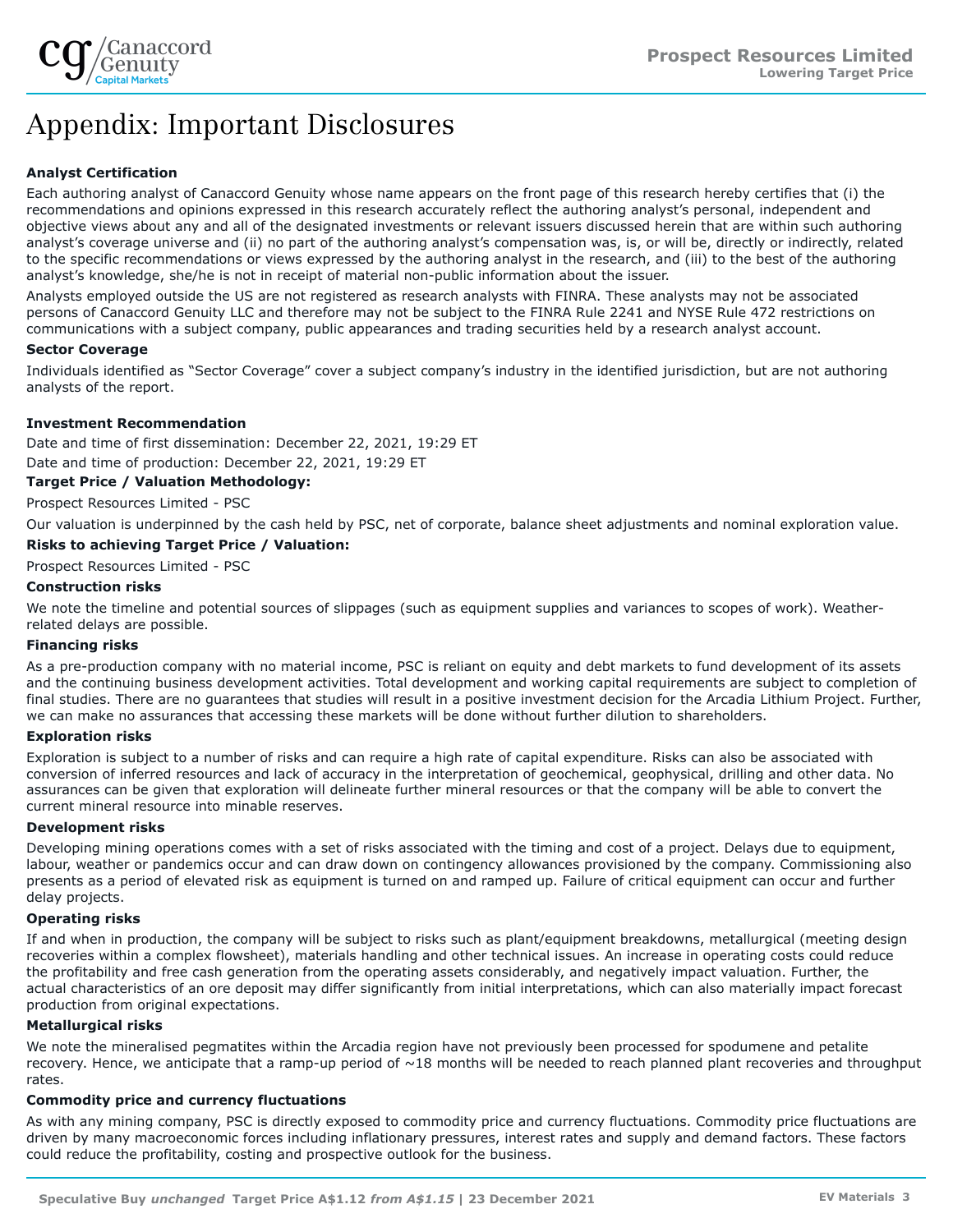

# Appendix: Important Disclosures

## **Analyst Certification**

Each authoring analyst of Canaccord Genuity whose name appears on the front page of this research hereby certifies that (i) the recommendations and opinions expressed in this research accurately reflect the authoring analyst's personal, independent and objective views about any and all of the designated investments or relevant issuers discussed herein that are within such authoring analyst's coverage universe and (ii) no part of the authoring analyst's compensation was, is, or will be, directly or indirectly, related to the specific recommendations or views expressed by the authoring analyst in the research, and (iii) to the best of the authoring analyst's knowledge, she/he is not in receipt of material non-public information about the issuer.

Analysts employed outside the US are not registered as research analysts with FINRA. These analysts may not be associated persons of Canaccord Genuity LLC and therefore may not be subject to the FINRA Rule 2241 and NYSE Rule 472 restrictions on communications with a subject company, public appearances and trading securities held by a research analyst account.

## **Sector Coverage**

Individuals identified as "Sector Coverage" cover a subject company's industry in the identified jurisdiction, but are not authoring analysts of the report.

## **Investment Recommendation**

Date and time of first dissemination: December 22, 2021, 19:29 ET

Date and time of production: December 22, 2021, 19:29 ET

**Target Price / Valuation Methodology:**

Prospect Resources Limited - PSC

Our valuation is underpinned by the cash held by PSC, net of corporate, balance sheet adjustments and nominal exploration value.

## **Risks to achieving Target Price / Valuation:**

Prospect Resources Limited - PSC

## **Construction risks**

We note the timeline and potential sources of slippages (such as equipment supplies and variances to scopes of work). Weatherrelated delays are possible.

## **Financing risks**

As a pre-production company with no material income, PSC is reliant on equity and debt markets to fund development of its assets and the continuing business development activities. Total development and working capital requirements are subject to completion of final studies. There are no quarantees that studies will result in a positive investment decision for the Arcadia Lithium Project. Further, we can make no assurances that accessing these markets will be done without further dilution to shareholders.

## **Exploration risks**

Exploration is subject to a number of risks and can require a high rate of capital expenditure. Risks can also be associated with conversion of inferred resources and lack of accuracy in the interpretation of geochemical, geophysical, drilling and other data. No assurances can be given that exploration will delineate further mineral resources or that the company will be able to convert the current mineral resource into minable reserves.

## **Development risks**

Developing mining operations comes with a set of risks associated with the timing and cost of a project. Delays due to equipment, labour, weather or pandemics occur and can draw down on contingency allowances provisioned by the company. Commissioning also presents as a period of elevated risk as equipment is turned on and ramped up. Failure of critical equipment can occur and further delay projects.

## **Operating risks**

If and when in production, the company will be subject to risks such as plant/equipment breakdowns, metallurgical (meeting design recoveries within a complex flowsheet), materials handling and other technical issues. An increase in operating costs could reduce the profitability and free cash generation from the operating assets considerably, and negatively impact valuation. Further, the actual characteristics of an ore deposit may differ significantly from initial interpretations, which can also materially impact forecast production from original expectations.

## **Metallurgical risks**

We note the mineralised pegmatites within the Arcadia region have not previously been processed for spodumene and petalite recovery. Hence, we anticipate that a ramp-up period of  $\sim$ 18 months will be needed to reach planned plant recoveries and throughput rates.

## **Commodity price and currency fluctuations**

As with any mining company, PSC is directly exposed to commodity price and currency fluctuations. Commodity price fluctuations are driven by many macroeconomic forces including inflationary pressures, interest rates and supply and demand factors. These factors could reduce the profitability, costing and prospective outlook for the business.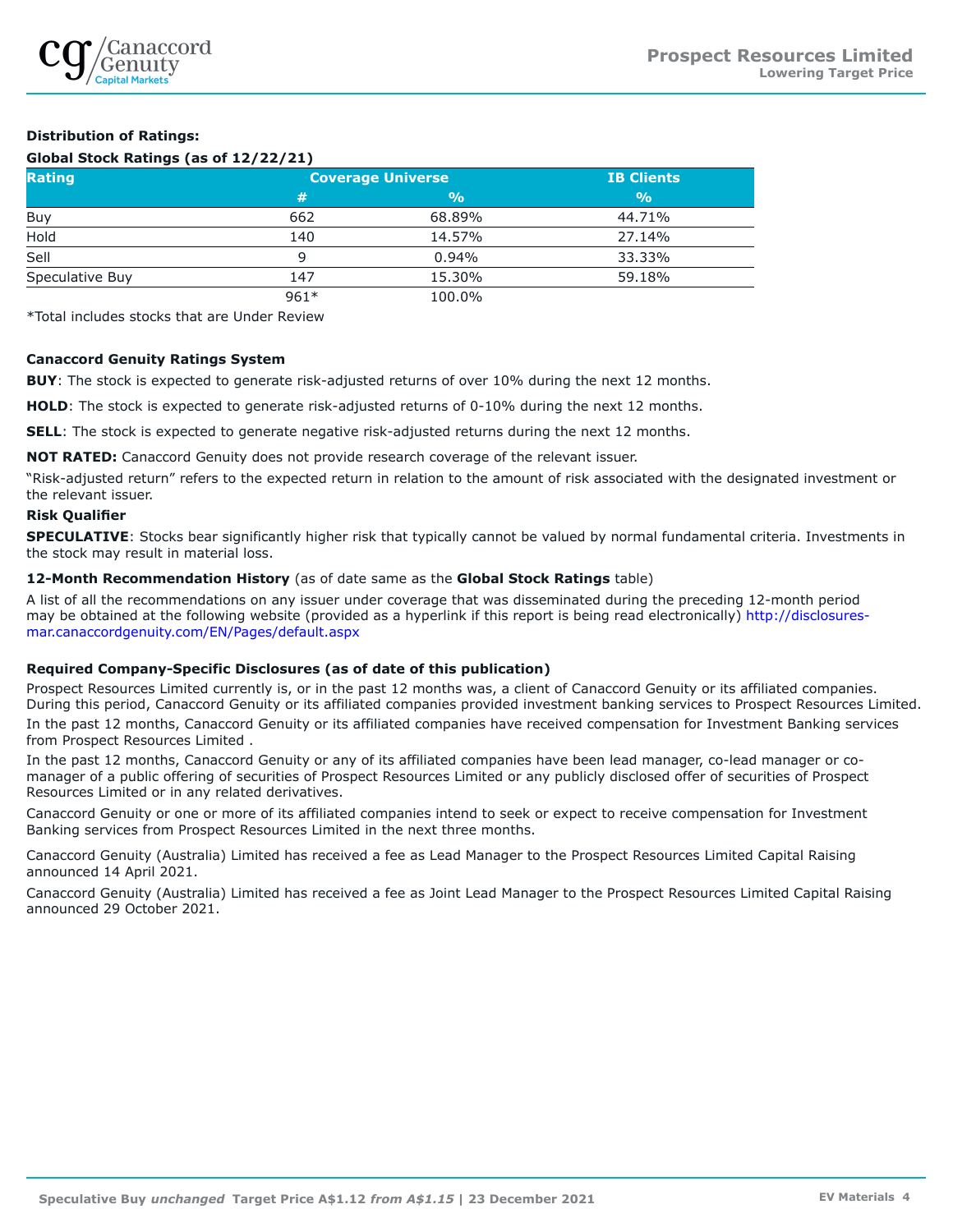

## **Distribution of Ratings:**

## **Global Stock Ratings (as of 12/22/21)**

| <b>Rating</b>   | <b>Coverage Universe</b> | <b>IB Clients</b> |               |
|-----------------|--------------------------|-------------------|---------------|
|                 | #                        | $\frac{9}{0}$     | $\frac{0}{0}$ |
| Buy             | 662                      | 68.89%            | 44.71%        |
| Hold            | 140                      | 14.57%            | 27.14%        |
| Sell            | q                        | 0.94%             | 33.33%        |
| Speculative Buy | 147                      | 15.30%            | 59.18%        |
|                 | $961*$                   | 100.0%            |               |

\*Total includes stocks that are Under Review

## **Canaccord Genuity Ratings System**

**BUY**: The stock is expected to generate risk-adjusted returns of over 10% during the next 12 months.

**HOLD**: The stock is expected to generate risk-adjusted returns of 0-10% during the next 12 months.

**SELL:** The stock is expected to generate negative risk-adjusted returns during the next 12 months.

**NOT RATED:** Canaccord Genuity does not provide research coverage of the relevant issuer.

"Risk-adjusted return" refers to the expected return in relation to the amount of risk associated with the designated investment or the relevant issuer.

## **Risk Qualifier**

**SPECULATIVE**: Stocks bear significantly higher risk that typically cannot be valued by normal fundamental criteria. Investments in the stock may result in material loss.

## **12-Month Recommendation History** (as of date same as the **Global Stock Ratings** table)

A list of all the recommendations on any issuer under coverage that was disseminated during the preceding 12-month period may be obtained at the following website (provided as a hyperlink if this report is being read electronically) [http://disclosures](http://disclosures-mar.canaccordgenuity.com/EN/Pages/default.aspx)[mar.canaccordgenuity.com/EN/Pages/default.aspx](http://disclosures-mar.canaccordgenuity.com/EN/Pages/default.aspx)

## **Required Company-Specific Disclosures (as of date of this publication)**

Prospect Resources Limited currently is, or in the past 12 months was, a client of Canaccord Genuity or its affiliated companies. During this period, Canaccord Genuity or its affiliated companies provided investment banking services to Prospect Resources Limited. In the past 12 months, Canaccord Genuity or its affiliated companies have received compensation for Investment Banking services from Prospect Resources Limited .

In the past 12 months, Canaccord Genuity or any of its affiliated companies have been lead manager, co-lead manager or comanager of a public offering of securities of Prospect Resources Limited or any publicly disclosed offer of securities of Prospect Resources Limited or in any related derivatives.

Canaccord Genuity or one or more of its affiliated companies intend to seek or expect to receive compensation for Investment Banking services from Prospect Resources Limited in the next three months.

Canaccord Genuity (Australia) Limited has received a fee as Lead Manager to the Prospect Resources Limited Capital Raising announced 14 April 2021.

Canaccord Genuity (Australia) Limited has received a fee as Joint Lead Manager to the Prospect Resources Limited Capital Raising announced 29 October 2021.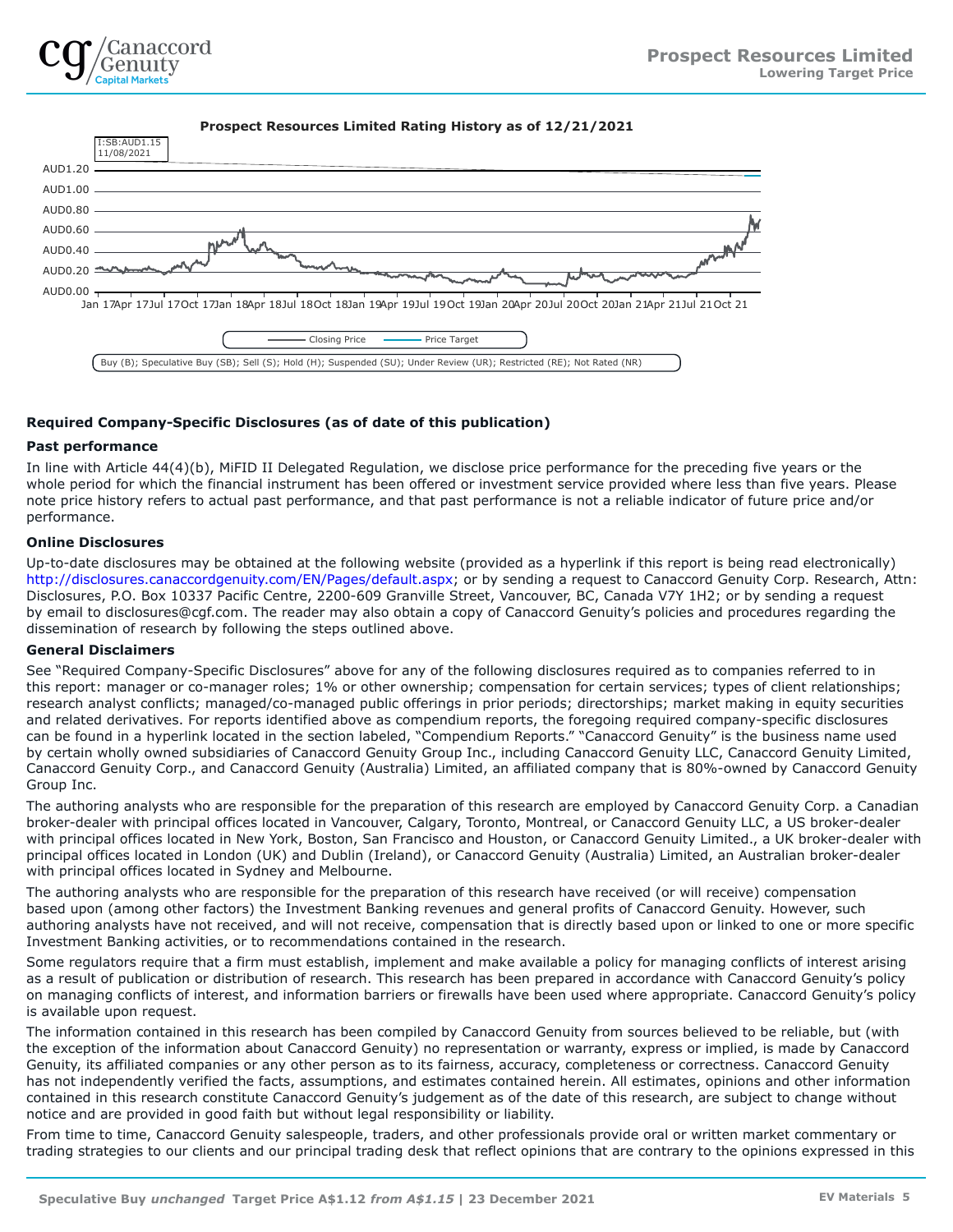

**Prospect Resources Limited Rating History as of 12/21/2021** AUD1.20 AUD1.00 AUD0.80 AUD0.60 AUD0.40 AUD0.20 AUD0.00  $<sub>7</sub>$ </sub> Jan 17Apr 17Jul 17Oct 17Jan 18Apr 18Jul 18Oct 18Jan 19Apr 19Jul 19Oct 19Jan 20Apr 20Jul 20Oct 20Jan 21Apr 21Jul 21Oct 21 I:SB:AUD1.15 11/08/2021 Closing Price **- Price Target** Buy (B); Speculative Buy (SB); Sell (S); Hold (H); Suspended (SU); Under Review (UR); Restricted (RE); Not Rated (NR)

## **Required Company-Specific Disclosures (as of date of this publication)**

## **Past performance**

In line with Article 44(4)(b), MiFID II Delegated Regulation, we disclose price performance for the preceding five years or the whole period for which the financial instrument has been offered or investment service provided where less than five years. Please note price history refers to actual past performance, and that past performance is not a reliable indicator of future price and/or performance.

## **Online Disclosures**

Up-to-date disclosures may be obtained at the following website (provided as a hyperlink if this report is being read electronically) <http://disclosures.canaccordgenuity.com/EN/Pages/default.aspx>; or by sending a request to Canaccord Genuity Corp. Research, Attn: Disclosures, P.O. Box 10337 Pacific Centre, 2200-609 Granville Street, Vancouver, BC, Canada V7Y 1H2; or by sending a request by email to disclosures@cgf.com. The reader may also obtain a copy of Canaccord Genuity's policies and procedures regarding the dissemination of research by following the steps outlined above.

## **General Disclaimers**

See "Required Company-Specific Disclosures" above for any of the following disclosures required as to companies referred to in this report: manager or co-manager roles; 1% or other ownership; compensation for certain services; types of client relationships; research analyst conflicts; managed/co-managed public offerings in prior periods; directorships; market making in equity securities and related derivatives. For reports identified above as compendium reports, the foregoing required company-specific disclosures can be found in a hyperlink located in the section labeled, "Compendium Reports." "Canaccord Genuity" is the business name used by certain wholly owned subsidiaries of Canaccord Genuity Group Inc., including Canaccord Genuity LLC, Canaccord Genuity Limited, Canaccord Genuity Corp., and Canaccord Genuity (Australia) Limited, an affiliated company that is 80%-owned by Canaccord Genuity Group Inc.

The authoring analysts who are responsible for the preparation of this research are employed by Canaccord Genuity Corp. a Canadian broker-dealer with principal offices located in Vancouver, Calgary, Toronto, Montreal, or Canaccord Genuity LLC, a US broker-dealer with principal offices located in New York, Boston, San Francisco and Houston, or Canaccord Genuity Limited., a UK broker-dealer with principal offices located in London (UK) and Dublin (Ireland), or Canaccord Genuity (Australia) Limited, an Australian broker-dealer with principal offices located in Sydney and Melbourne.

The authoring analysts who are responsible for the preparation of this research have received (or will receive) compensation based upon (among other factors) the Investment Banking revenues and general profits of Canaccord Genuity. However, such authoring analysts have not received, and will not receive, compensation that is directly based upon or linked to one or more specific Investment Banking activities, or to recommendations contained in the research.

Some regulators require that a firm must establish, implement and make available a policy for managing conflicts of interest arising as a result of publication or distribution of research. This research has been prepared in accordance with Canaccord Genuity's policy on managing conflicts of interest, and information barriers or firewalls have been used where appropriate. Canaccord Genuity's policy is available upon request.

The information contained in this research has been compiled by Canaccord Genuity from sources believed to be reliable, but (with the exception of the information about Canaccord Genuity) no representation or warranty, express or implied, is made by Canaccord Genuity, its affiliated companies or any other person as to its fairness, accuracy, completeness or correctness. Canaccord Genuity has not independently verified the facts, assumptions, and estimates contained herein. All estimates, opinions and other information contained in this research constitute Canaccord Genuity's judgement as of the date of this research, are subject to change without notice and are provided in good faith but without legal responsibility or liability.

From time to time, Canaccord Genuity salespeople, traders, and other professionals provide oral or written market commentary or trading strategies to our clients and our principal trading desk that reflect opinions that are contrary to the opinions expressed in this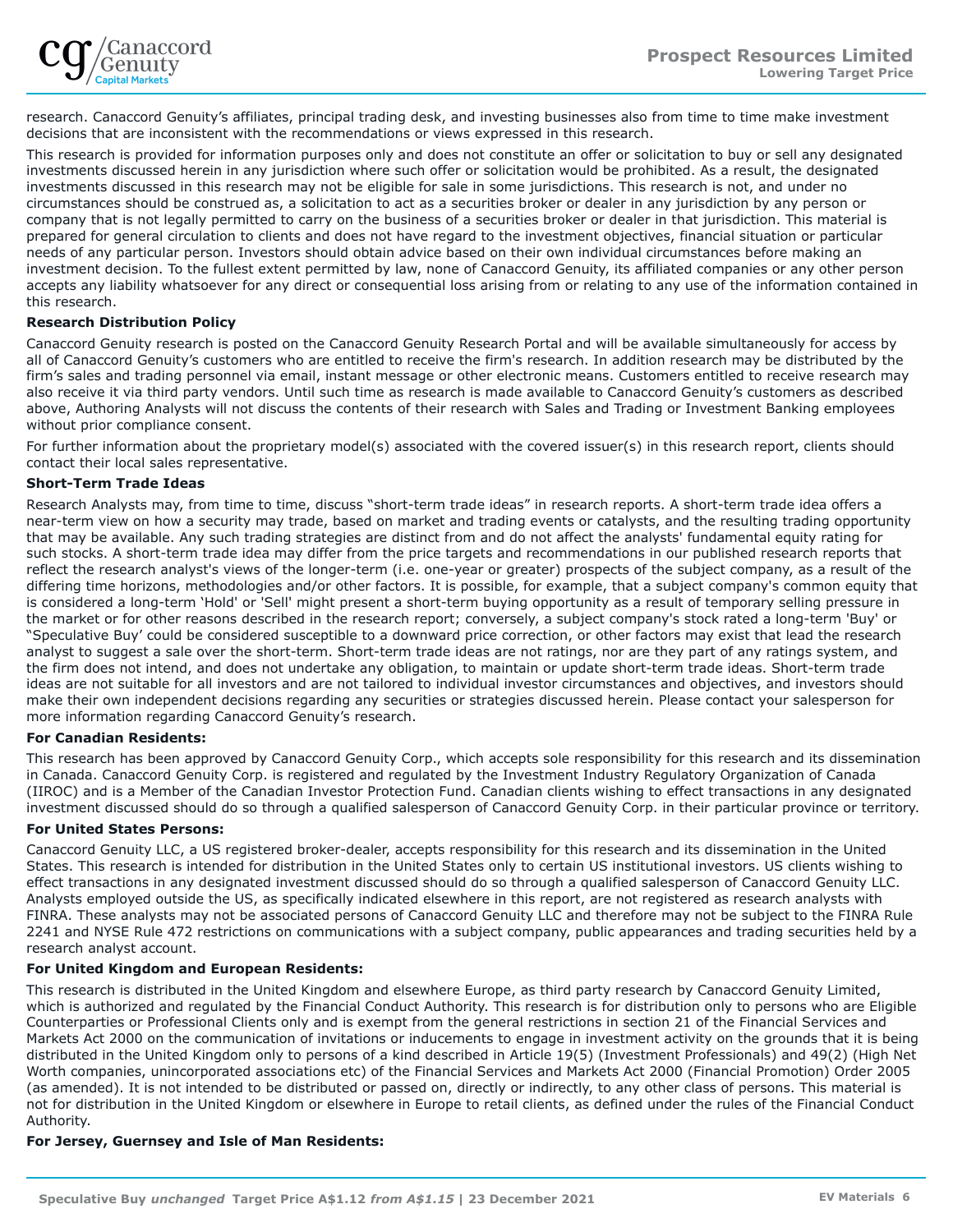research. Canaccord Genuity's affiliates, principal trading desk, and investing businesses also from time to time make investment decisions that are inconsistent with the recommendations or views expressed in this research.

This research is provided for information purposes only and does not constitute an offer or solicitation to buy or sell any designated investments discussed herein in any jurisdiction where such offer or solicitation would be prohibited. As a result, the designated investments discussed in this research may not be eligible for sale in some jurisdictions. This research is not, and under no circumstances should be construed as, a solicitation to act as a securities broker or dealer in any jurisdiction by any person or company that is not legally permitted to carry on the business of a securities broker or dealer in that jurisdiction. This material is prepared for general circulation to clients and does not have regard to the investment objectives, financial situation or particular needs of any particular person. Investors should obtain advice based on their own individual circumstances before making an investment decision. To the fullest extent permitted by law, none of Canaccord Genuity, its affiliated companies or any other person accepts any liability whatsoever for any direct or consequential loss arising from or relating to any use of the information contained in this research.

## **Research Distribution Policy**

Canaccord Genuity research is posted on the Canaccord Genuity Research Portal and will be available simultaneously for access by all of Canaccord Genuity's customers who are entitled to receive the firm's research. In addition research may be distributed by the firm's sales and trading personnel via email, instant message or other electronic means. Customers entitled to receive research may also receive it via third party vendors. Until such time as research is made available to Canaccord Genuity's customers as described above, Authoring Analysts will not discuss the contents of their research with Sales and Trading or Investment Banking employees without prior compliance consent.

For further information about the proprietary model(s) associated with the covered issuer(s) in this research report, clients should contact their local sales representative.

## **Short-Term Trade Ideas**

Research Analysts may, from time to time, discuss "short-term trade ideas" in research reports. A short-term trade idea offers a near-term view on how a security may trade, based on market and trading events or catalysts, and the resulting trading opportunity that may be available. Any such trading strategies are distinct from and do not affect the analysts' fundamental equity rating for such stocks. A short-term trade idea may differ from the price targets and recommendations in our published research reports that reflect the research analyst's views of the longer-term (i.e. one-year or greater) prospects of the subject company, as a result of the differing time horizons, methodologies and/or other factors. It is possible, for example, that a subject company's common equity that is considered a long-term 'Hold' or 'Sell' might present a short-term buying opportunity as a result of temporary selling pressure in the market or for other reasons described in the research report; conversely, a subject company's stock rated a long-term 'Buy' or "Speculative Buy' could be considered susceptible to a downward price correction, or other factors may exist that lead the research analyst to suggest a sale over the short-term. Short-term trade ideas are not ratings, nor are they part of any ratings system, and the firm does not intend, and does not undertake any obligation, to maintain or update short-term trade ideas. Short-term trade ideas are not suitable for all investors and are not tailored to individual investor circumstances and objectives, and investors should make their own independent decisions regarding any securities or strategies discussed herein. Please contact your salesperson for more information regarding Canaccord Genuity's research.

## **For Canadian Residents:**

This research has been approved by Canaccord Genuity Corp., which accepts sole responsibility for this research and its dissemination in Canada. Canaccord Genuity Corp. is registered and regulated by the Investment Industry Regulatory Organization of Canada (IIROC) and is a Member of the Canadian Investor Protection Fund. Canadian clients wishing to effect transactions in any designated investment discussed should do so through a qualified salesperson of Canaccord Genuity Corp. in their particular province or territory.

## **For United States Persons:**

Canaccord Genuity LLC, a US registered broker-dealer, accepts responsibility for this research and its dissemination in the United States. This research is intended for distribution in the United States only to certain US institutional investors. US clients wishing to effect transactions in any designated investment discussed should do so through a qualified salesperson of Canaccord Genuity LLC. Analysts employed outside the US, as specifically indicated elsewhere in this report, are not registered as research analysts with FINRA. These analysts may not be associated persons of Canaccord Genuity LLC and therefore may not be subject to the FINRA Rule 2241 and NYSE Rule 472 restrictions on communications with a subject company, public appearances and trading securities held by a research analyst account.

## **For United Kingdom and European Residents:**

This research is distributed in the United Kingdom and elsewhere Europe, as third party research by Canaccord Genuity Limited, which is authorized and regulated by the Financial Conduct Authority. This research is for distribution only to persons who are Eligible Counterparties or Professional Clients only and is exempt from the general restrictions in section 21 of the Financial Services and Markets Act 2000 on the communication of invitations or inducements to engage in investment activity on the grounds that it is being distributed in the United Kingdom only to persons of a kind described in Article 19(5) (Investment Professionals) and 49(2) (High Net Worth companies, unincorporated associations etc) of the Financial Services and Markets Act 2000 (Financial Promotion) Order 2005 (as amended). It is not intended to be distributed or passed on, directly or indirectly, to any other class of persons. This material is not for distribution in the United Kingdom or elsewhere in Europe to retail clients, as defined under the rules of the Financial Conduct Authority.

## **For Jersey, Guernsey and Isle of Man Residents:**